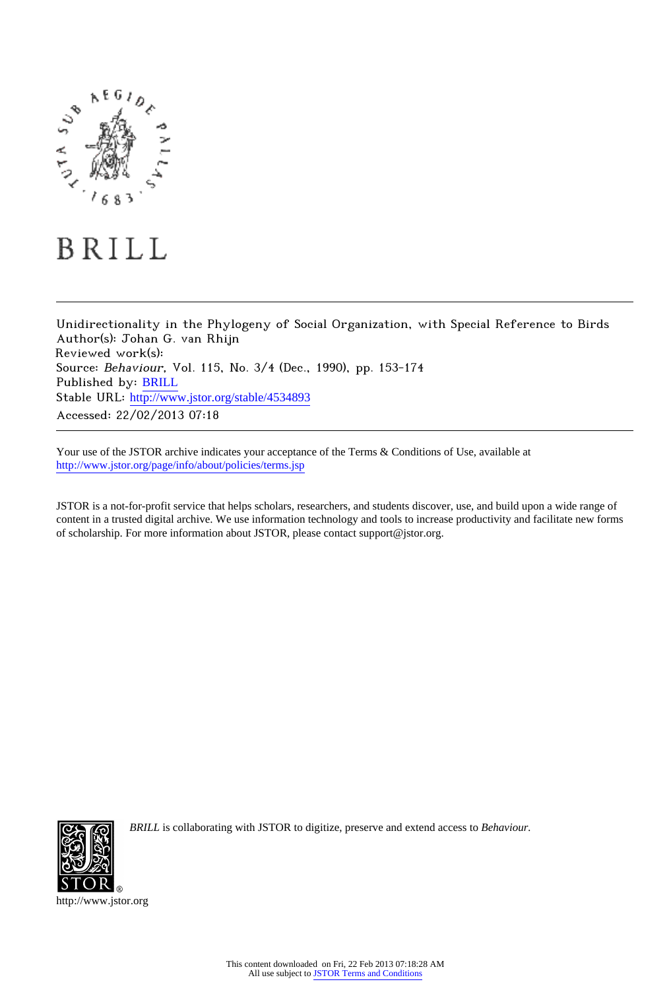

# BRILL

Unidirectionality in the Phylogeny of Social Organization, with Special Reference to Birds Author(s): Johan G. van Rhijn Reviewed work(s): Source: Behaviour, Vol. 115, No. 3/4 (Dec., 1990), pp. 153-174 Published by: [BRILL](http://www.jstor.org/action/showPublisher?publisherCode=bap) Stable URL: [http://www.jstor.org/stable/4534893](http://www.jstor.org/stable/4534893?origin=JSTOR-pdf) Accessed: 22/02/2013 07:18

Your use of the JSTOR archive indicates your acceptance of the Terms & Conditions of Use, available at <http://www.jstor.org/page/info/about/policies/terms.jsp>

JSTOR is a not-for-profit service that helps scholars, researchers, and students discover, use, and build upon a wide range of content in a trusted digital archive. We use information technology and tools to increase productivity and facilitate new forms of scholarship. For more information about JSTOR, please contact support@jstor.org.



*BRILL* is collaborating with JSTOR to digitize, preserve and extend access to *Behaviour.*

http://www.jstor.org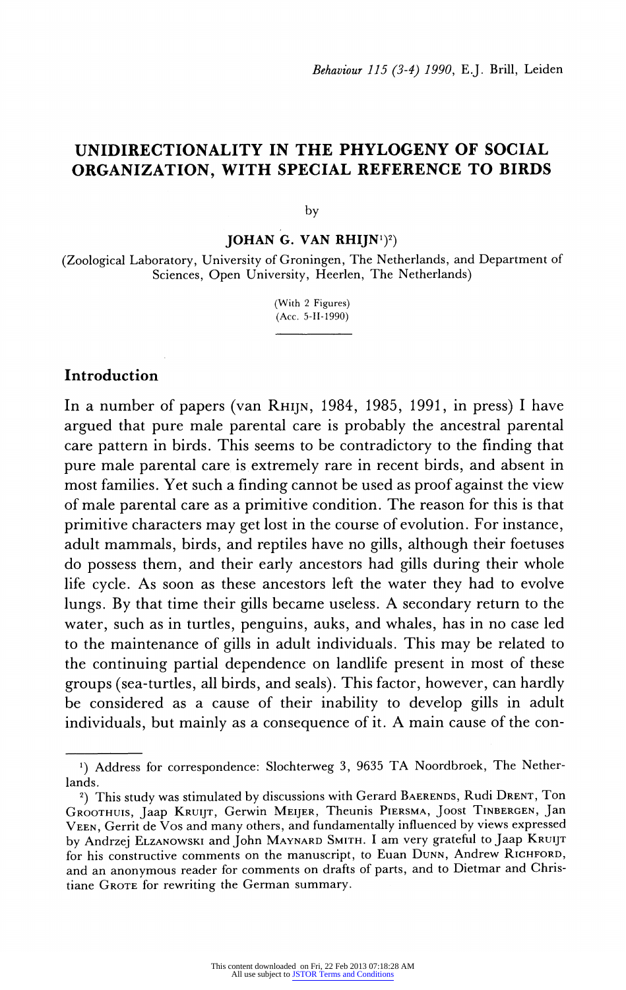## **UNIDIRECTIONALITY IN THE PHYLOGENY OF SOCIAL ORGANIZATION, WITH SPECIAL REFERENCE TO BIRDS**

**by** 

**JOHAN G. VAN RHIJN1)2)** 

**(Zoological Laboratory, University of Groningen, The Netherlands, and Department of Sciences, Open University, Heerlen, The Netherlands)** 

> **(With 2 Figures) (Acc. 5-II-1990)**

## **Introduction**

**In a number of papers (van RHIJN, 1984, 1985, 1991, in press) I have argued that pure male parental care is probably the ancestral parental care pattern in birds. This seems to be contradictory to the finding that pure male parental care is extremely rare in recent birds, and absent in most families. Yet such a finding cannot be used as proof against the view of male parental care as a primitive condition. The reason for this is that primitive characters may get lost in the course of evolution. For instance, adult mammals, birds, and reptiles have no gills, although their foetuses do possess them, and their early ancestors had gills during their whole life cycle. As soon as these ancestors left the water they had to evolve lungs. By that time their gills became useless. A secondary return to the water, such as in turtles, penguins, auks, and whales, has in no case led to the maintenance of gills in adult individuals. This may be related to the continuing partial dependence on landlife present in most of these groups (sea-turtles, all birds, and seals). This factor, however, can hardly be considered as a cause of their inability to develop gills in adult individuals, but mainly as a consequence of it. A main cause of the con-**

<sup>&</sup>lt;sup>1</sup>) Address for correspondence: Slochterweg 3, 9635 TA Noordbroek, The Nether**lands.** 

**<sup>2)</sup> This study was stimulated by discussions with Gerard BAERENDS, Rudi DRENT, Ton**  GROOTHUIS, Jaap KRUIJT, Gerwin MEIJER, Theunis PIERSMA, Joost TINBERGEN, Jan **VEEN, Gerrit de Vos and many others, and fundamentally influenced by views expressed by Andrzej ELZANOWSKI and John MAYNARD SMITH. I am very grateful to Jaap KRUIJT for his constructive comments on the manuscript, to Euan DUNN, Andrew RICHFORD, and an anonymous reader for comments on drafts of parts, and to Dietmar and Christiane GROTE for rewriting the German summary.**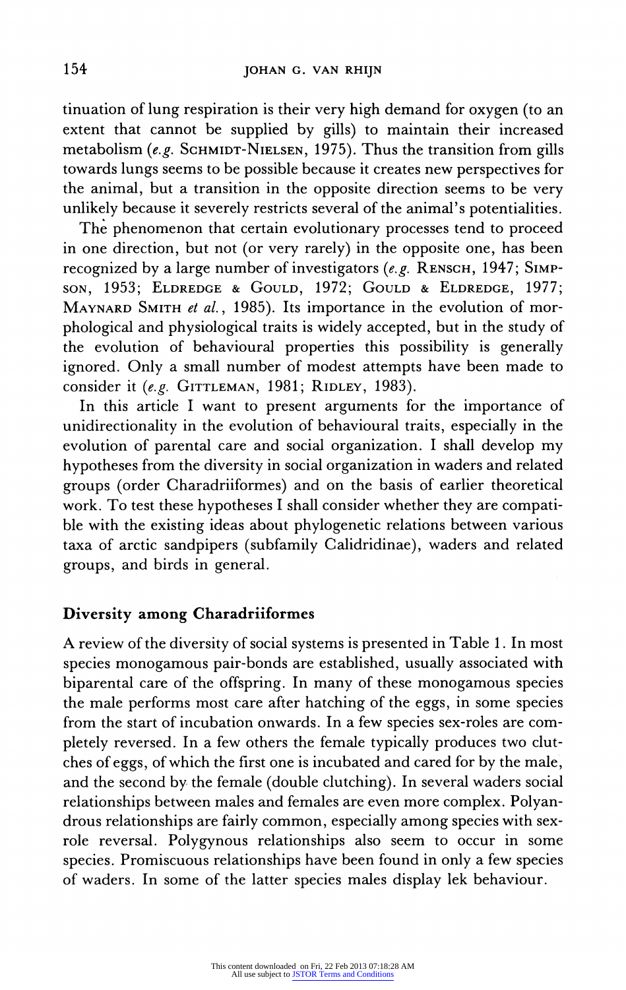**tinuation of lung respiration is their very high demand for oxygen (to an extent that cannot be supplied by gills) to maintain their increased metabolism (e.g. SCHMIDT-NIELSEN, 1975). Thus the transition from gills towards lungs seems to be possible because it creates new perspectives for the animal, but a transition in the opposite direction seems to be very unlikely because it severely restricts several of the animal's potentialities.** 

**The phenomenon that certain evolutionary processes tend to proceed in one direction, but not (or very rarely) in the opposite one, has been recognized by a large number of investigators (e.g. RENSCH, 1947; SIMP-SON, 1953; ELDREDGE & GOULD, 1972; GOULD & ELDREDGE, 1977; MAYNARD SMITH et al., 1985). Its importance in the evolution of morphological and physiological traits is widely accepted, but in the study of the evolution of behavioural properties this possibility is generally ignored. Only a small number of modest attempts have been made to consider it (e.g. GITTLEMAN, 1981; RIDLEY, 1983).** 

**In this article I want to present arguments for the importance of unidirectionality in the evolution of behavioural traits, especially in the evolution of parental care and social organization. I shall develop my hypotheses from the diversity in social organization in waders and related groups (order Charadriiformes) and on the basis of earlier theoretical work. To test these hypotheses I shall consider whether they are compatible with the existing ideas about phylogenetic relations between various taxa of arctic sandpipers (subfamily Calidridinae), waders and related groups, and birds in general.** 

## **Diversity among Charadriiformes**

**A review of the diversity of social systems is presented in Table 1. In most species monogamous pair-bonds are established, usually associated with biparental care of the offspring. In many of these monogamous species the male performs most care after hatching of the eggs, in some species from the start of incubation onwards. In a few species sex-roles are completely reversed. In a few others the female typically produces two clutches of eggs, of which the first one is incubated and cared for by the male, and the second by the female (double clutching). In several waders social relationships between males and females are even more complex. Polyandrous relationships are fairly common, especially among species with sexrole reversal. Polygynous relationships also seem to occur in some species. Promiscuous relationships have been found in only a few species of waders. In some of the latter species males display lek behaviour.**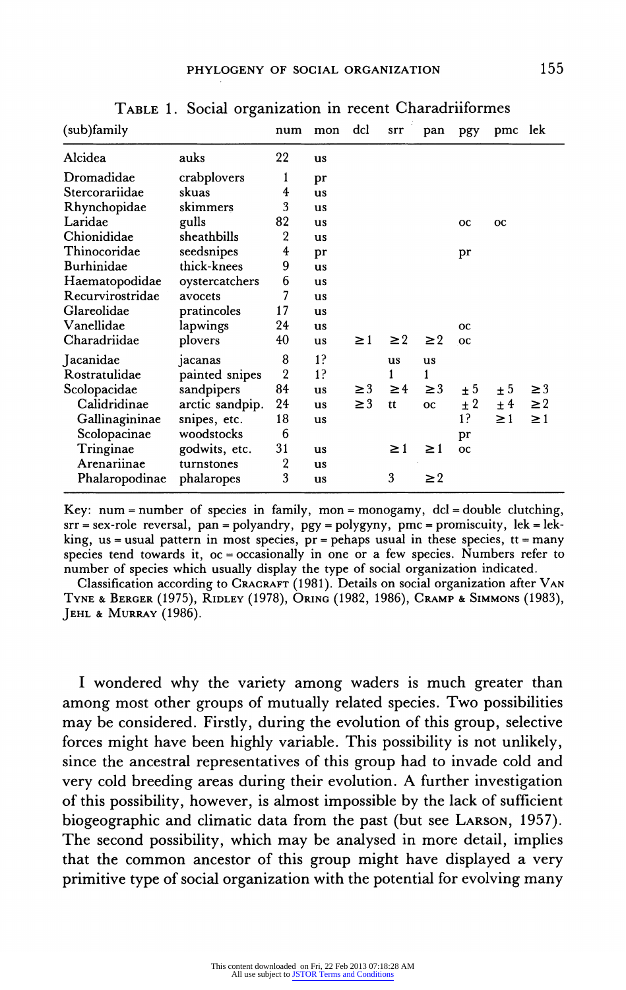| (sub)family      |                 | num            | mon       | dcl      | srr       | pan       | pgy       | pmc       | lek      |
|------------------|-----------------|----------------|-----------|----------|-----------|-----------|-----------|-----------|----------|
| Alcidea          | auks            | 22             | us        |          |           |           |           |           |          |
| Dromadidae       | crabplovers     | 1              | pr        |          |           |           |           |           |          |
| Stercorariidae   | skuas           | 4              | us        |          |           |           |           |           |          |
| Rhynchopidae     | skimmers        | 3              | us        |          |           |           |           |           |          |
| Laridae          | gulls           | 82             | us        |          |           |           | oc        | <b>OC</b> |          |
| Chionididae      | sheathbills     | 2              | us        |          |           |           |           |           |          |
| Thinocoridae     | seedsnipes      | 4              | pr        |          |           |           | pr        |           |          |
| Burhinidae       | thick-knees     | 9              | us        |          |           |           |           |           |          |
| Haematopodidae   | oystercatchers  | 6              | us        |          |           |           |           |           |          |
| Recurvirostridae | avocets         | 7              | us        |          |           |           |           |           |          |
| Glareolidae      | pratincoles     | 17             | us        |          |           |           |           |           |          |
| Vanellidae       | lapwings        | 24             | us        |          |           |           | <b>OC</b> |           |          |
| Charadriidae     | plovers         | 40             | us        | $\geq$ 1 | $\geq$ 2  | $\geq$ 2  | <b>OC</b> |           |          |
| Jacanidae        | acanas          | 8              | 1?        |          | <b>us</b> | us        |           |           |          |
| Rostratulidae    | painted snipes  | $\overline{2}$ | 1?        |          | 1         | 1         |           |           |          |
| Scolopacidae     | sandpipers      | 84             | us        | $\geq$ 3 | $\geq 4$  | $\geq 3$  | ± 5       | ± 5       | $\geq 3$ |
| Calidridinae     | arctic sandpip. | 24             | us        | $\geq$ 3 | tt        | <b>OC</b> | $\pm$ 2   | ±4        | $\geq$ 2 |
| Gallinagininae   | snipes, etc.    | 18             | us        |          |           |           | 1?        | $\geq$ 1  | $\geq$ 1 |
| Scolopacinae     | woodstocks      | 6              |           |          |           |           | pr        |           |          |
| Tringinae        | godwits, etc.   | 31             | <b>us</b> |          | $\geq$ 1  | ≥1        | <b>OC</b> |           |          |
| Arenariinae      | turnstones      | 2              | us        |          |           |           |           |           |          |
| Phalaropodinae   | phalaropes      | 3              | us        |          | 3         | $\geq$ 2  |           |           |          |

**TABLE 1. Social organization in recent Charadriiformes** 

**Key: num = number of species in family, mon = monogamy, dcl = double clutching, srr = sex-role reversal, pan = polyandry, pgy = polygyny, pmc = promiscuity, lek = lekking, us = usual pattern in most species, pr = pehaps usual in these species, tt = many species tend towards it, oc = occasionally in one or a few species. Numbers refer to number of species which usually display the type of social organization indicated.** 

**Classification according to CRACRAFT (1981). Details on social organization after VAN TYNE & BERGER (1975), RIDLEY (1978), ORING (1982, 1986), CRAMP & SIMMONS (1983), JEHL & MURRAY (1986).** 

**I wondered why the variety among waders is much greater than among most other groups of mutually related species. Two possibilities may be considered. Firstly, during the evolution of this group, selective forces might have been highly variable. This possibility is not unlikely, since the ancestral representatives of this group had to invade cold and very cold breeding areas during their evolution. A further investigation of this possibility, however, is almost impossible by the lack of sufficient biogeographic and climatic data from the past (but see LARSON, 1957). The second possibility, which may be analysed in more detail, implies that the common ancestor of this group might have displayed a very primitive type of social organization with the potential for evolving many**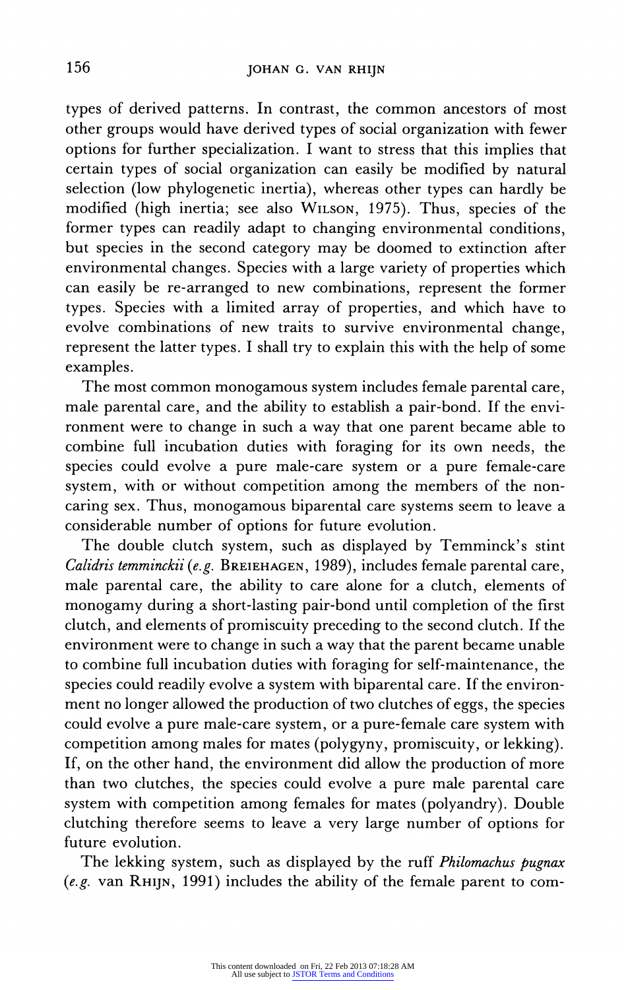**types of derived patterns. In contrast, the common ancestors of most other groups would have derived types of social organization with fewer options for further specialization. I want to stress that this implies that certain types of social organization can easily be modified by natural selection (low phylogenetic inertia), whereas other types can hardly be modified (high inertia; see also WILSON, 1975). Thus, species of the former types can readily adapt to changing environmental conditions, but species in the second category may be doomed to extinction after environmental changes. Species with a large variety of properties which can easily be re-arranged to new combinations, represent the former types. Species with a limited array of properties, and which have to evolve combinations of new traits to survive environmental change, represent the latter types. I shall try to explain this with the help of some examples.** 

**The most common monogamous system includes female parental care, male parental care, and the ability to establish a pair-bond. If the environment were to change in such a way that one parent became able to combine full incubation duties with foraging for its own needs, the species could evolve a pure male-care system or a pure female-care system, with or without competition among the members of the noncaring sex. Thus, monogamous biparental care systems seem to leave a considerable number of options for future evolution.** 

**The double clutch system, such as displayed by Temminck's stint Calidris temminckii (e.g. BREIEHAGEN, 1989), includes female parental care, male parental care, the ability to care alone for a clutch, elements of monogamy during a short-lasting pair-bond until completion of the first clutch, and elements of promiscuity preceding to the second clutch. If the environment were to change in such a way that the parent became unable to combine full incubation duties with foraging for self-maintenance, the species could readily evolve a system with biparental care. If the environment no longer allowed the production of two clutches of eggs, the species could evolve a pure male-care system, or a pure-female care system with competition among males for mates (polygyny, promiscuity, or lekking). If, on the other hand, the environment did allow the production of more than two clutches, the species could evolve a pure male parental care system with competition among females for mates (polyandry). Double clutching therefore seems to leave a very large number of options for future evolution.** 

**The lekking system, such as displayed by the ruff Philomachus pugnax (e.g. van RHIJN, 1991) includes the ability of the female parent to com-**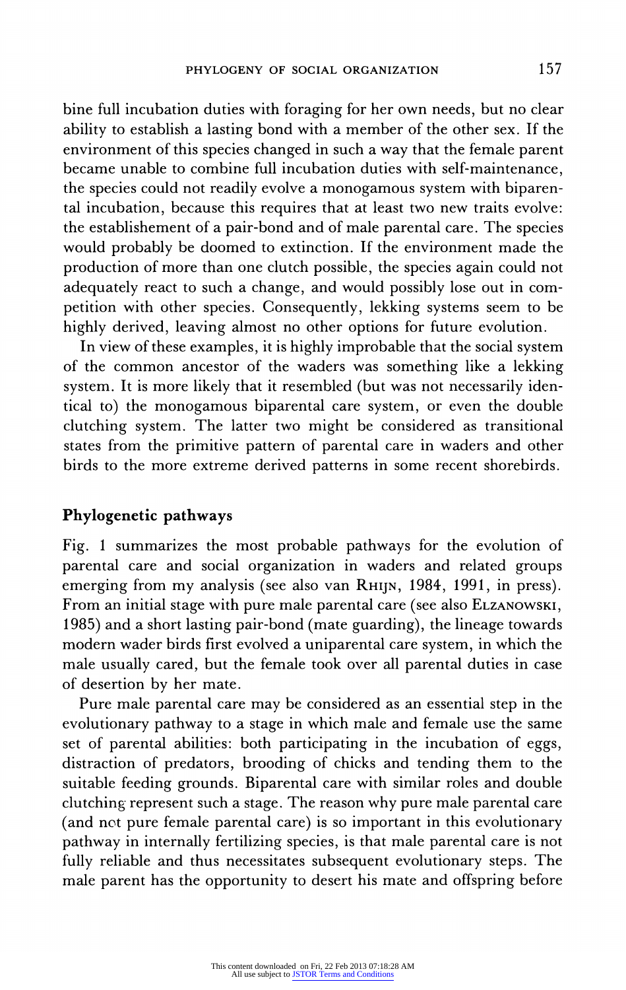**bine full incubation duties with foraging for her own needs, but no clear ability to establish a lasting bond with a member of the other sex. If the environment of this species changed in such a way that the female parent became unable to combine full incubation duties with self-maintenance, the species could not readily evolve a monogamous system with biparental incubation, because this requires that at least two new traits evolve: the establishement of a pair-bond and of male parental care. The species would probably be doomed to extinction. If the environment made the production of more than one clutch possible, the species again could not adequately react to such a change, and would possibly lose out in competition with other species. Consequently, lekking systems seem to be highly derived, leaving almost no other options for future evolution.** 

**In view of these examples, it is highly improbable that the social system of the common ancestor of the waders was something like a lekking system. It is more likely that it resembled (but was not necessarily identical to) the monogamous biparental care system, or even the double clutching system. The latter two might be considered as transitional states from the primitive pattern of parental care in waders and other birds to the more extreme derived patterns in some recent shorebirds.** 

#### **Phylogenetic pathways**

**Fig. 1 summarizes the most probable pathways for the evolution of parental care and social organization in waders and related groups**  emerging from my analysis (see also van RHIJN, 1984, 1991, in press). **From an initial stage with pure male parental care (see also ELZANOWSKI, 1985) and a short lasting pair-bond (mate guarding), the lineage towards modern wader birds first evolved a uniparental care system, in which the male usually cared, but the female took over all parental duties in case of desertion by her mate.** 

**Pure male parental care may be considered as an essential step in the evolutionary pathway to a stage in which male and female use the same set of parental abilities: both participating in the incubation of eggs, distraction of predators, brooding of chicks and tending them to the suitable feeding grounds. Biparental care with similar roles and double clutching represent such a stage. The reason why pure male parental care (and not pure female parental care) is so important in this evolutionary pathway in internally fertilizing species, is that male parental care is not fully reliable and thus necessitates subsequent evolutionary steps. The male parent has the opportunity to desert his mate and offspring before**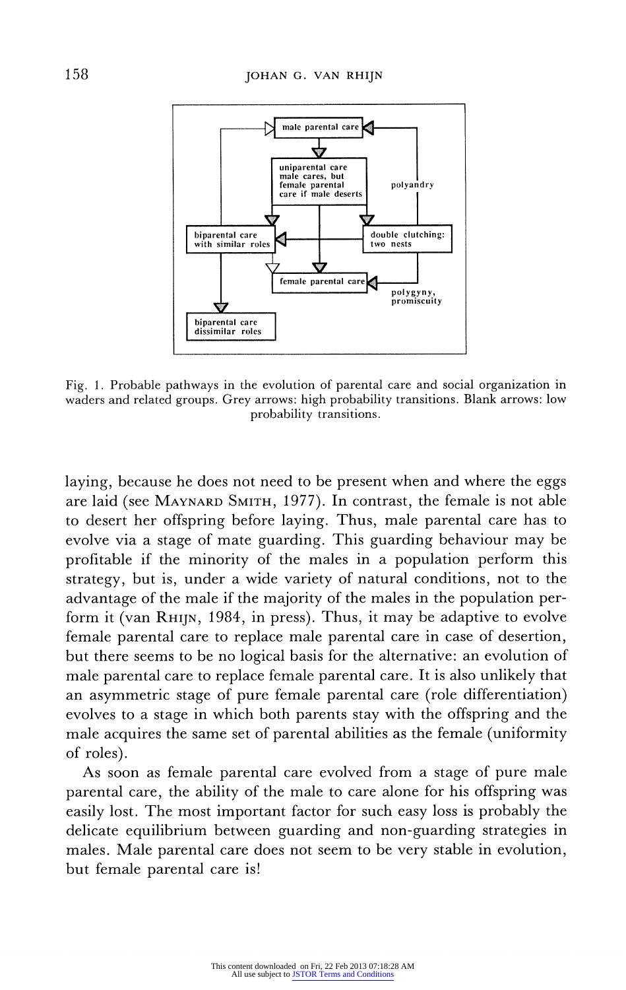

**Fig. 1. Probable pathways in the evolution of parental care and social organization in waders and related groups. Grey arrows: high probability transitions. Blank arrows: low probability transitions.** 

**laying, because he does not need to be present when and where the eggs are laid (see MAYNARD SMITH, 1977). In contrast, the female is not able to desert her offspring before laying. Thus, male parental care has to evolve via a stage of mate guarding. This guarding behaviour may be profitable if the minority of the males in a population perform this strategy, but is, under a wide variety of natural conditions, not to the advantage of the male if the majority of the males in the population perform it (van RHIJN, 1984, in press). Thus, it may be adaptive to evolve female parental care to replace male parental care in case of desertion, but there seems to be no logical basis for the alternative: an evolution of male parental care to replace female parental care. It is also unlikely that an asymmetric stage of pure female parental care (role differentiation) evolves to a stage in which both parents stay with the offspring and the male acquires the same set of parental abilities as the female (uniformity of roles).** 

**As soon as female parental care evolved from a stage of pure male parental care, the ability of the male to care alone for his offspring was easily lost. The most important factor for such easy loss is probably the delicate equilibrium between guarding and non-guarding strategies in males. Male parental care does not seem to be very stable in evolution, but female parental care is!**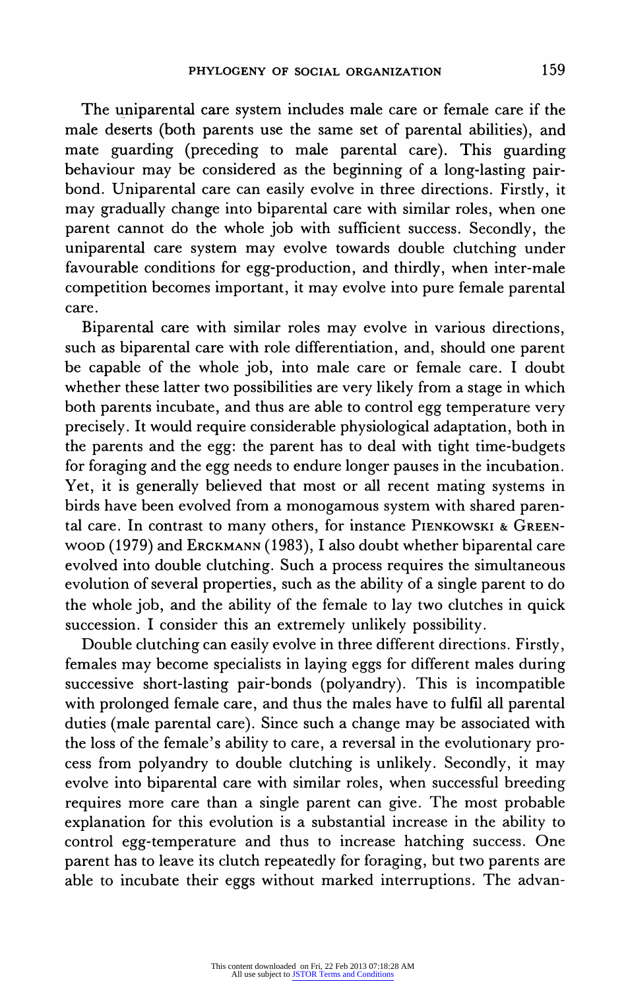**The uniparental care system includes male care or female care if the male deserts (both parents use the same set of parental abilities), and mate guarding (preceding to male parental care). This guarding**  behaviour may be considered as the beginning of a long-lasting pair**bond. Uniparental care can easily evolve in three directions. Firstly, it may gradually change into biparental care with similar roles, when one parent cannot do the whole job with sufficient success. Secondly, the uniparental care system may evolve towards double clutching under favourable conditions for egg-production, and thirdly, when inter-male competition becomes important, it may evolve into pure female parental care.** 

**Biparental care with similar roles may evolve in various directions, such as biparental care with role differentiation, and, should one parent be capable of the whole job, into male care or female care. I doubt whether these latter two possibilities are very likely from a stage in which both parents incubate, and thus are able to control egg temperature very precisely. It would require considerable physiological adaptation, both in the parents and the egg: the parent has to deal with tight time-budgets for foraging and the egg needs to endure longer pauses in the incubation. Yet, it is generally believed that most or all recent mating systems in birds have been evolved from a monogamous system with shared parental care. In contrast to many others, for instance PIENKOWSKI &GREEN-WOOD (1979) and ERCKMANN (1983), I also doubt whether biparental care evolved into double clutching. Such a process requires the simultaneous evolution of several properties, such as the ability of a single parent to do the whole job, and the ability of the female to lay two clutches in quick succession. I consider this an extremely unlikely possibility.** 

**Double clutching can easily evolve in three different directions. Firstly, females may become specialists in laying eggs for different males during successive short-lasting pair-bonds (polyandry). This is incompatible with prolonged female care, and thus the males have to fulfil all parental duties (male parental care). Since such a change may be associated with the loss of the female's ability to care, a reversal in the evolutionary process from polyandry to double clutching is unlikely. Secondly, it may evolve into biparental care with similar roles, when successful breeding requires more care than a single parent can give. The most probable explanation for this evolution is a substantial increase in the ability to control egg-temperature and thus to increase hatching success. One parent has to leave its clutch repeatedly for foraging, but two parents are able to incubate their eggs without marked interruptions. The advan-**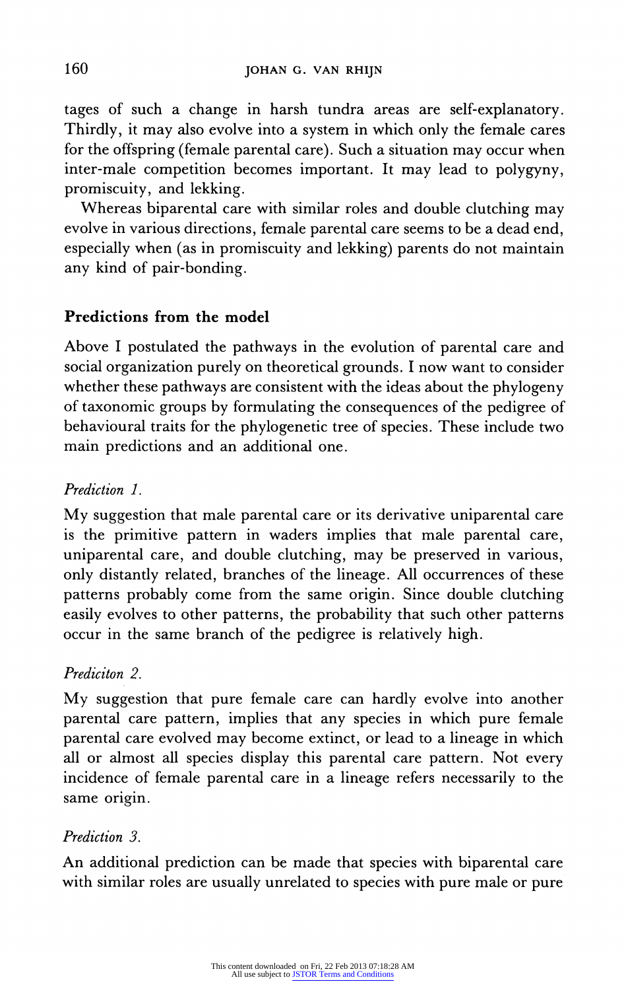**tages of such a change in harsh tundra areas are self-explanatory. Thirdly, it may also evolve into a system in which only the female cares for the offspring (female parental care). Such a situation may occur when inter-male competition becomes important. It may lead to polygyny, promiscuity, and lekking.** 

**Whereas biparental care with similar roles and double clutching may evolve in various directions, female parental care seems to be a dead end, especially when (as in promiscuity and lekking) parents do not maintain any kind of pair-bonding.** 

## **Predictions from the model**

**Above I postulated the pathways in the evolution of parental care and social organization purely on theoretical grounds. I now want to consider whether these pathways are consistent with the ideas about the phylogeny of taxonomic groups by formulating the consequences of the pedigree of behavioural traits for the phylogenetic tree of species. These include two main predictions and an additional one.** 

## **Prediction 1.**

**My suggestion that male parental care or its derivative uniparental care is the primitive pattern in waders implies that male parental care, uniparental care, and double clutching, may be preserved in various, only distantly related, branches of the lineage. All occurrences of these patterns probably come from the same origin. Since double clutching easily evolves to other patterns, the probability that such other patterns occur in the same branch of the pedigree is relatively high.** 

## **Prediciton 2.**

**My suggestion that pure female care can hardly evolve into another parental care pattern, implies that any species in which pure female parental care evolved may become extinct, or lead to a lineage in which all or almost all species display this parental care pattern. Not every incidence of female parental care in a lineage refers necessarily to the same origin.** 

## **Prediction 3.**

**An additional prediction can be made that species with biparental care with similar roles are usually unrelated to species with pure male or pure**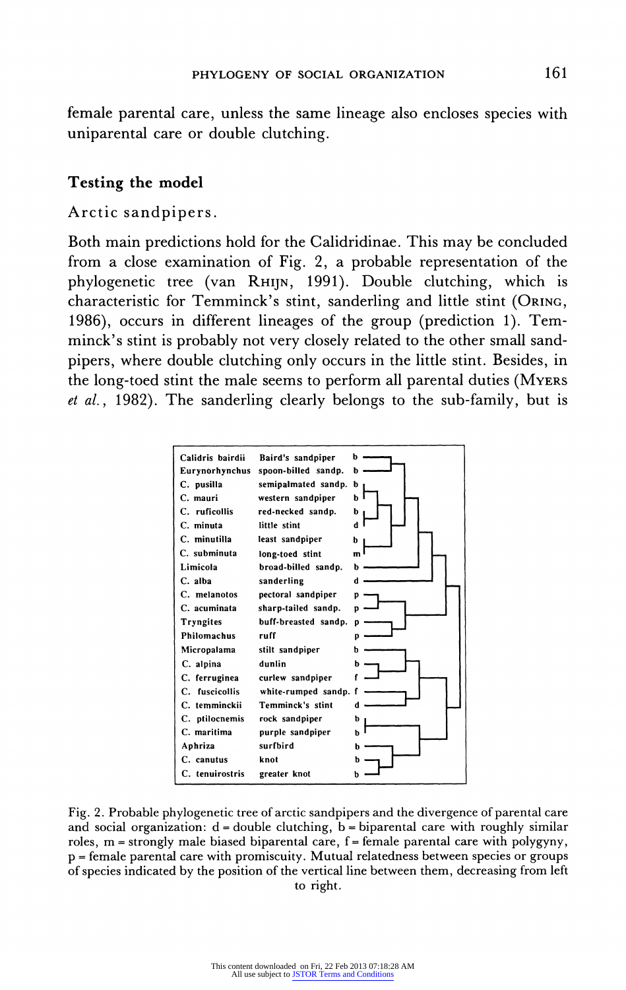**female parental care, unless the same lineage also encloses species with uniparental care or double clutching.** 

#### **Testing the model**

**Arctic sandpipers.** 

**Both main predictions hold for the Calidridinae. This may be concluded from a close examination of Fig. 2, a probable representation of the phylogenetic tree (van RHIJN, 1991). Double clutching, which is characteristic for Temminck's stint, sanderling and little stint (ORING, 1986), occurs in different lineages of the group (prediction 1). Temminck's stint is probably not very closely related to the other small sandpipers, where double clutching only occurs in the little stint. Besides, in the long-toed stint the male seems to perform all parental duties (MYERS et al., 1982). The sanderling clearly belongs to the sub-family, but is** 



**Fig. 2. Probable phylogenetic tree of arctic sandpipers and the divergence of parental care**  and social organization:  $d =$  double clutching,  $b =$  biparental care with roughly similar **roles, m = strongly male biased biparental care, f= female parental care with polygyny, p = female parental care with promiscuity. Mutual relatedness between species or groups of species indicated by the position of the vertical line between them, decreasing from left to right.**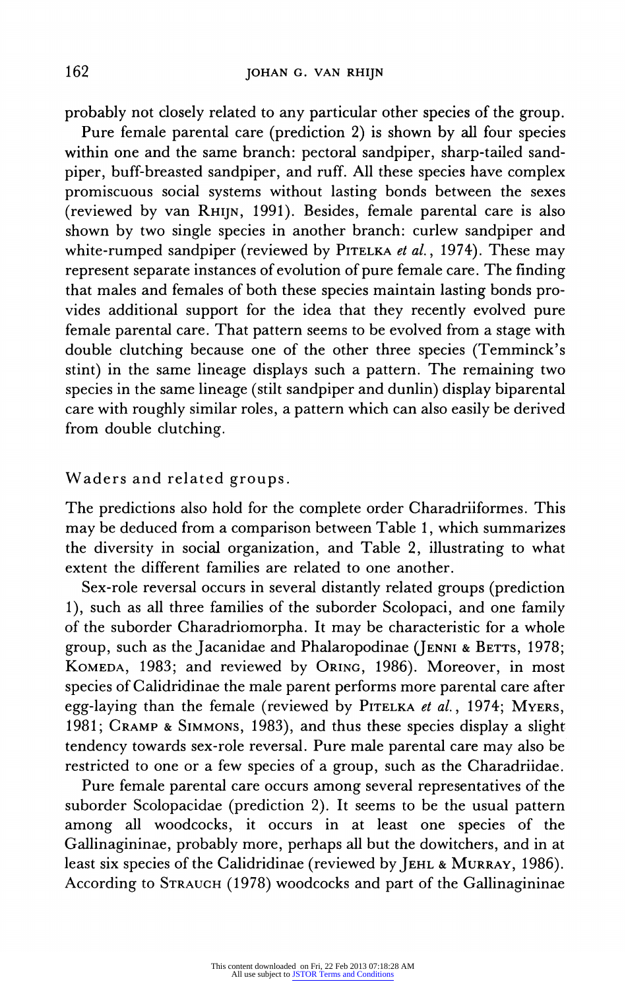**probably not closely related to any particular other species of the group.** 

**Pure female parental care (prediction 2) is shown by all four species**  within one and the same branch: pectoral sandpiper, sharp-tailed sand**piper, buff-breasted sandpiper, and ruff. All these species have complex promiscuous social systems without lasting bonds between the sexes (reviewed by van RHIJN, 1991). Besides, female parental care is also shown by two single species in another branch: curlew sandpiper and white-rumped sandpiper (reviewed by PITELKA et al., 1974). These may represent separate instances of evolution of pure female care. The finding that males and females of both these species maintain lasting bonds provides additional support for the idea that they recently evolved pure female parental care. That pattern seems to be evolved from a stage with double clutching because one of the other three species (Temminck's stint) in the same lineage displays such a pattern. The remaining two species in the same lineage (stilt sandpiper and dunlin) display biparental care with roughly similar roles, a pattern which can also easily be derived from double clutching.** 

# **Waders and related groups.**

**The predictions also hold for the complete order Charadriiformes. This may be deduced from a comparison between Table 1, which summarizes the diversity in social organization, and Table 2, illustrating to what extent the different families are related to one another.** 

**Sex-role reversal occurs in several distantly related groups (prediction 1), such as all three families of the suborder Scolopaci, and one family of the suborder Charadriomorpha. It may be characteristic for a whole group, such as the Jacanidae and Phalaropodinae JENNI & BETTS, 1978; KOMEDA, 1983; and reviewed by ORING, 1986). Moreover, in most species of Calidridinae the male parent performs more parental care after egg-laying than the female (reviewed by PITELKA et al., 1974; MYERS, 1981; CRAMP & SIMMONS, 1983), and thus these species display a slight tendency towards sex-role reversal. Pure male parental care may also be restricted to one or a few species of a group, such as the Charadriidae.** 

**Pure female parental care occurs among several representatives of the suborder Scolopacidae (prediction 2). It seems to be the usual pattern among all woodcocks, it occurs in at least one species of the Gallinagininae, probably more, perhaps all but the dowitchers, and in at least six species of the Calidridinae (reviewed byJEHL & MURRAY, 1986). According to STRAUCH (1978) woodcocks and part of the Gallinagininae**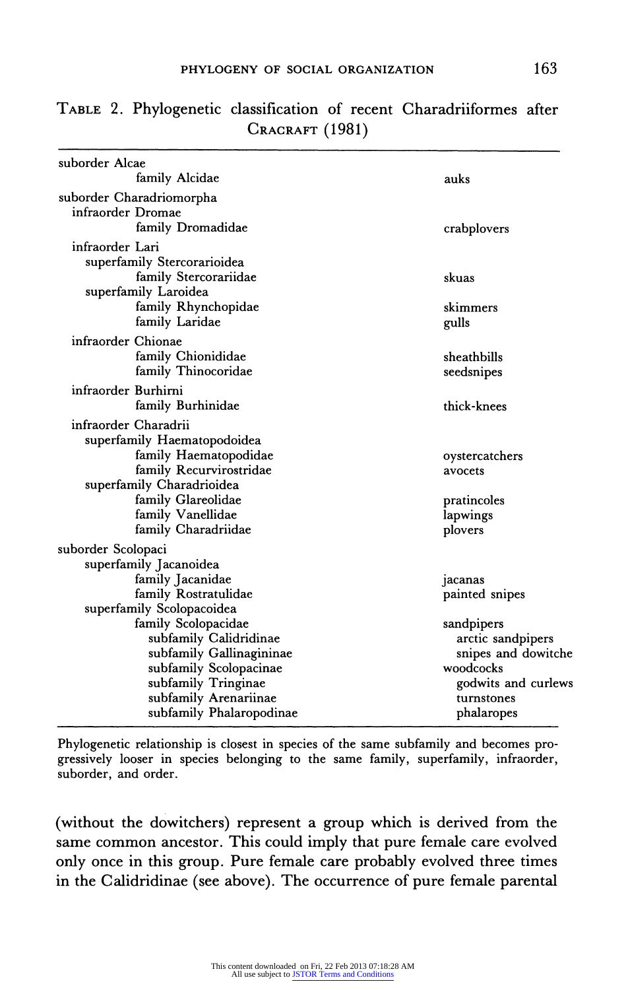| suborder Alcae                                     |                                          |
|----------------------------------------------------|------------------------------------------|
| family Alcidae                                     | auks                                     |
| suborder Charadriomorpha                           |                                          |
| infraorder Dromae                                  |                                          |
| family Dromadidae                                  | crabplovers                              |
| infraorder Lari                                    |                                          |
| superfamily Stercorarioidea                        |                                          |
| family Stercorariidae                              | skuas                                    |
| superfamily Laroidea                               |                                          |
| family Rhynchopidae                                | skimmers                                 |
| family Laridae                                     | gulls                                    |
| infraorder Chionae                                 |                                          |
| family Chionididae                                 | sheathbills                              |
| family Thinocoridae                                | seedsnipes                               |
| infraorder Burhirni                                |                                          |
| family Burhinidae                                  | thick-knees                              |
|                                                    |                                          |
| infraorder Charadrii                               |                                          |
| superfamily Haematopodoidea                        |                                          |
| family Haematopodidae                              | oystercatchers                           |
| family Recurvirostridae                            | avocets                                  |
| superfamily Charadrioidea<br>family Glareolidae    |                                          |
| family Vanellidae                                  | pratincoles                              |
| family Charadriidae                                | lapwings<br>plovers                      |
|                                                    |                                          |
| suborder Scolopaci                                 |                                          |
| superfamily Jacanoidea                             |                                          |
| family Jacanidae                                   | jacanas                                  |
| family Rostratulidae                               | painted snipes                           |
| superfamily Scolopacoidea                          |                                          |
| family Scolopacidae                                | sandpipers                               |
| subfamily Calidridinae<br>subfamily Gallinagininae | arctic sandpipers<br>snipes and dowitche |
| subfamily Scolopacinae                             | woodcocks                                |
| subfamily Tringinae                                | godwits and curlews                      |
| subfamily Arenariinae                              | turnstones                               |
| subfamily Phalaropodinae                           | phalaropes                               |
|                                                    |                                          |

# **TABLE 2. Phylogenetic classification of recent Charadriiformes after CRACRAFT (1981)**

**Phylogenetic relationship is closest in species of the same subfamily and becomes progressively looser in species belonging to the same family, superfamily, infraorder, suborder, and order.** 

**(without the dowitchers) represent a group which is derived from the same common ancestor. This could imply that pure female care evolved only once in this group. Pure female care probably evolved three times in the Calidridinae (see above). The occurrence of pure female parental**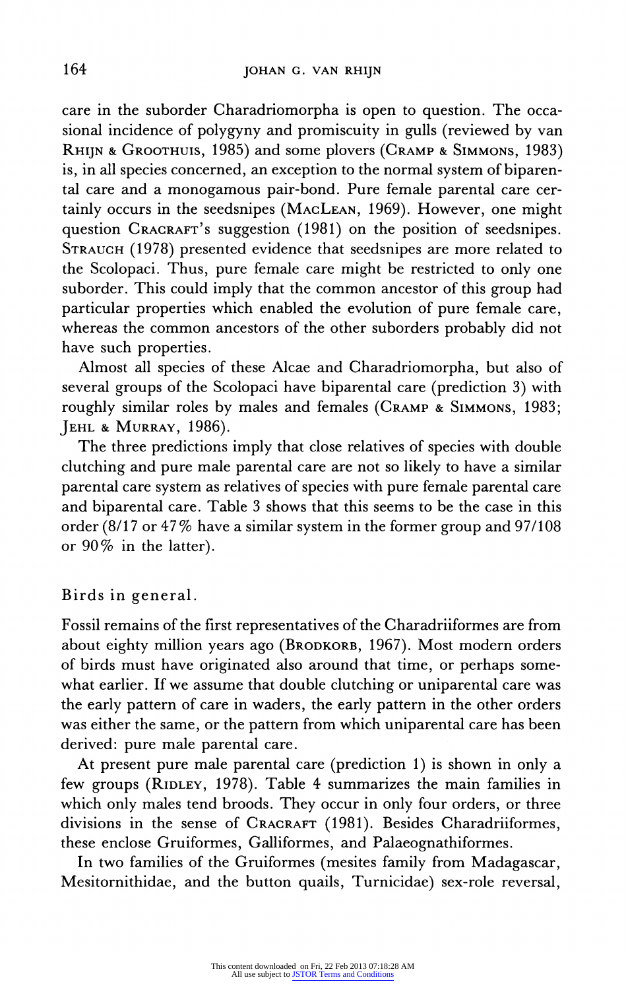**care in the suborder Charadriomorpha is open to question. The occasional incidence of polygyny and promiscuity in gulls (reviewed by van RHIJN & GROOTHUIS, 1985) and some plovers (CRAMP & SIMMONS, 1983) is, in all species concerned, an exception to the normal system of biparental care and a monogamous pair-bond. Pure female parental care certainly occurs in the seedsnipes (MACLEAN, 1969). However, one might question CRACRAFT'S suggestion (1981) on the position of seedsnipes. STRAUCH (1978) presented evidence that seedsnipes are more related to the Scolopaci. Thus, pure female care might be restricted to only one suborder. This could imply that the common ancestor of this group had particular properties which enabled the evolution of pure female care, whereas the common ancestors of the other suborders probably did not have such properties.** 

**Almost all species of these Alcae and Charadriomorpha, but also of several groups of the Scolopaci have biparental care (prediction 3) with roughly similar roles by males and females (CRAMP & SIMMONS, 1983; JEHL & MURRAY, 1986).** 

**The three predictions imply that close relatives of species with double clutching and pure male parental care are not so likely to have a similar parental care system as relatives of species with pure female parental care and biparental care. Table 3 shows that this seems to be the case in this order (8/17 or 47% have a similar system in the former group and 97/108 or 90% in the latter).** 

**Birds in general.** 

**Fossil remains of the first representatives of the Charadriiformes are from about eighty million years ago (BRODKORB, 1967). Most modern orders of birds must have originated also around that time, or perhaps somewhat earlier. If we assume that double clutching or uniparental care was the early pattern of care in waders, the early pattern in the other orders was either the same, or the pattern from which uniparental care has been derived: pure male parental care.** 

**At present pure male parental care (prediction 1) is shown in only a few groups (RIDLEY, 1978). Table 4 summarizes the main families in which only males tend broods. They occur in only four orders, or three divisions in the sense of CRACRAFT (1981). Besides Charadriiformes, these enclose Gruiformes, Galliformes, and Palaeognathiformes.** 

**In two families of the Gruiformes (mesites family from Madagascar, Mesitornithidae, and the button quails, Turnicidae) sex-role reversal,**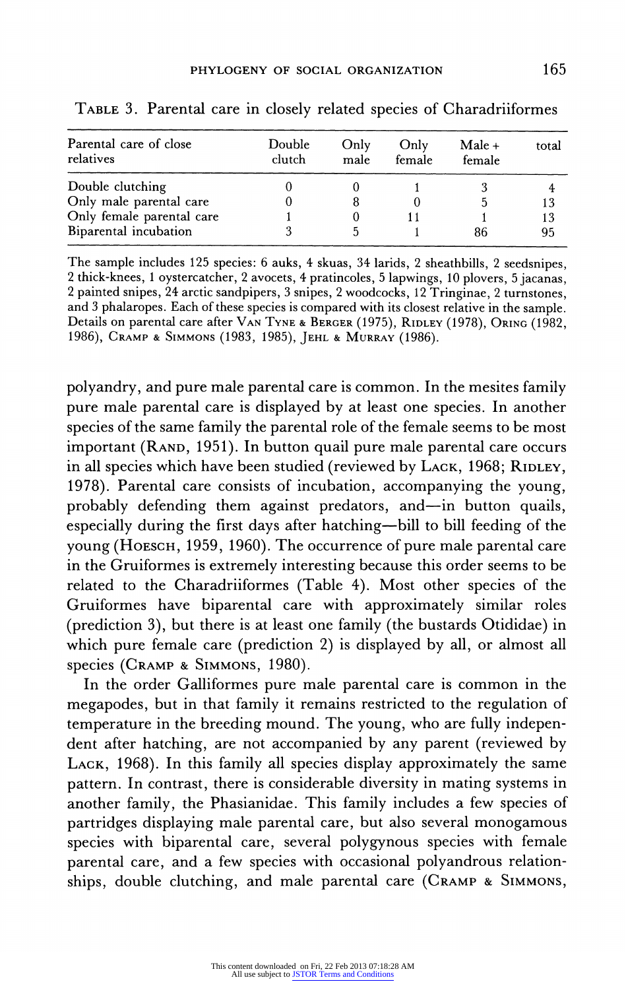| Parental care of close<br>relatives | Double<br>clutch | Only<br>male | Only<br>female | $Male +$<br>female | total |
|-------------------------------------|------------------|--------------|----------------|--------------------|-------|
| Double clutching                    |                  |              |                |                    |       |
| Only male parental care             |                  |              |                |                    | 13    |
| Only female parental care           |                  |              |                |                    | 13    |
| Biparental incubation               |                  |              |                | 86                 | 95    |

**TABLE 3. Parental care in closely related species of Charadriiformes** 

**The sample includes 125 species: 6 auks, 4 skuas, 34 larids, 2 sheathbills, 2 seedsnipes, 2 thick-knees, 1 oystercatcher, 2 avocets, 4 pratincoles, 5 lapwings, 10 plovers, 5 jacanas, 2 painted snipes, 24 arctic sandpipers, 3 snipes, 2 woodcocks, 12 Tringinae, 2 turnstones, and 3 phalaropes. Each of these species is compared with its closest relative in the sample. Details on parental care after VAN TYNE & BERGER (1975), RIDLEY (1978), ORING (1982, 1986), CRAMP & SIMMONS (1983, 1985), JEHL & MURRAY (1986).** 

**polyandry, and pure male parental care is common. In the mesites family pure male parental care is displayed by at least one species. In another species of the same family the parental role of the female seems to be most important (RAND, 1951). In button quail pure male parental care occurs in all species which have been studied (reviewed by LACK, 1968; RIDLEY, 1978). Parental care consists of incubation, accompanying the young,**  probably defending them against predators, and-in button quails, **especially during the first days after hatching-bill to bill feeding of the young (HOESCH, 1959, 1960). The occurrence of pure male parental care in the Gruiformes is extremely interesting because this order seems to be related to the Charadriiformes (Table 4). Most other species of the Gruiformes have biparental care with approximately similar roles (prediction 3), but there is at least one family (the bustards Otididae) in**  which pure female care (prediction 2) is displayed by all, or almost all **species (CRAMP & SIMMONS, 1980).** 

**In the order Galliformes pure male parental care is common in the megapodes, but in that family it remains restricted to the regulation of temperature in the breeding mound. The young, who are fully independent after hatching, are not accompanied by any parent (reviewed by LACK, 1968). In this family all species display approximately the same pattern. In contrast, there is considerable diversity in mating systems in another family, the Phasianidae. This family includes a few species of partridges displaying male parental care, but also several monogamous species with biparental care, several polygynous species with female parental care, and a few species with occasional polyandrous relationships, double clutching, and male parental care (CRAMP & SIMMONS,**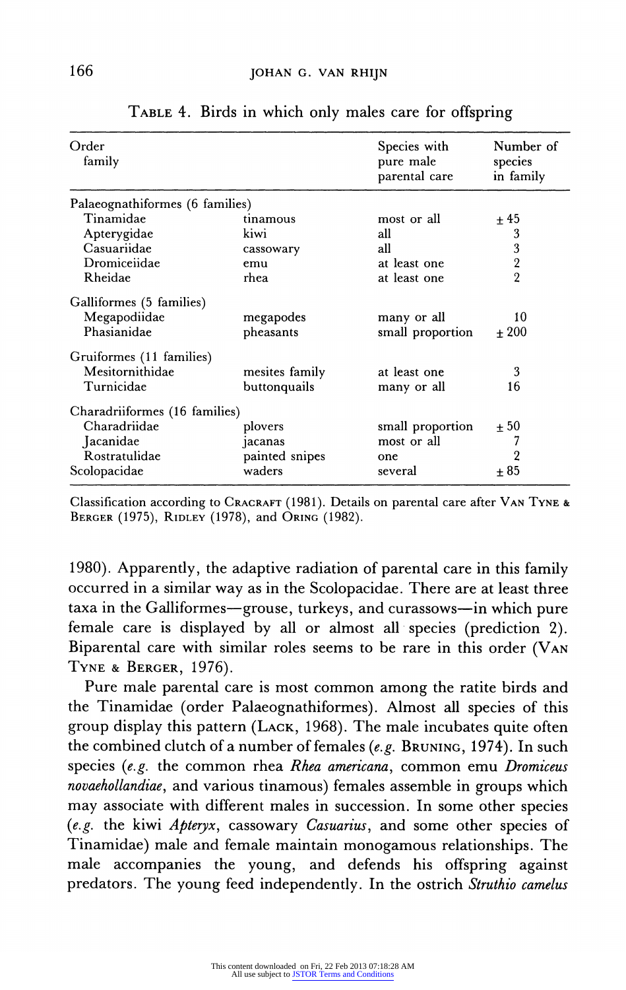| Order<br>family                 |                | Species with<br>pure male<br>parental care | Number of<br>species<br>in family |  |  |  |
|---------------------------------|----------------|--------------------------------------------|-----------------------------------|--|--|--|
| Palaeognathiformes (6 families) |                |                                            |                                   |  |  |  |
| Tinamidae                       | tinamous       | most or all                                | ±45                               |  |  |  |
| Apterygidae                     | kiwi           | all                                        | 3                                 |  |  |  |
| Casuariidae                     | cassowary      | all                                        | 3                                 |  |  |  |
| Dromiceiidae                    | emu            | at least one                               | $\overline{2}$                    |  |  |  |
| Rheidae                         | rhea           | at least one                               | $\overline{2}$                    |  |  |  |
| Galliformes (5 families)        |                |                                            |                                   |  |  |  |
| Megapodiidae                    | megapodes      | many or all                                | 10                                |  |  |  |
| Phasianidae                     | pheasants      | small proportion                           | $+200$                            |  |  |  |
| Gruiformes (11 families)        |                |                                            |                                   |  |  |  |
| Mesitornithidae                 | mesites family | at least one                               | 3                                 |  |  |  |
| Turnicidae                      | buttonquails   | many or all                                | 16                                |  |  |  |
| Charadriiformes (16 families)   |                |                                            |                                   |  |  |  |
| Charadriidae                    | plovers        | small proportion                           | $\pm 50$                          |  |  |  |
| Jacanidae                       | jacanas        | most or all                                | 7                                 |  |  |  |
| Rostratulidae                   | painted snipes | one                                        | $\overline{2}$                    |  |  |  |
| Scolopacidae                    | waders         | several                                    | $+85$                             |  |  |  |

**TABLE 4. Birds in which only males care for offspring** 

**Classification according to CRACRAFT (1981). Details on parental care after VAN TYNE & BERGER (1975), RIDLEY (1978), and ORING (1982).** 

**1980). Apparently, the adaptive radiation of parental care in this family occurred in a similar way as in the Scolopacidae. There are at least three taxa in the Galliformes-grouse, turkeys, and curassows-in which pure female care is displayed by all or almost all species (prediction 2).**  Biparental care with similar roles seems to be rare in this order (VAN **TYNE & BERGER, 1976).** 

**Pure male parental care is most common among the ratite birds and the Tinamidae (order Palaeognathiformes). Almost all species of this group display this pattern (LACK, 1968). The male incubates quite often the combined clutch of a number of females (e.g. BRUNING, 1974). In such species (e.g. the common rhea Rhea americana, common emu Dromiceus novaehollandiae, and various tinamous) females assemble in groups which may associate with different males in succession. In some other species (e.g. the kiwi Apteryx, cassowary Casuarius, and some other species of Tinamidae) male and female maintain monogamous relationships. The male accompanies the young, and defends his offspring against predators. The young feed independently. In the ostrich Struthio camelus**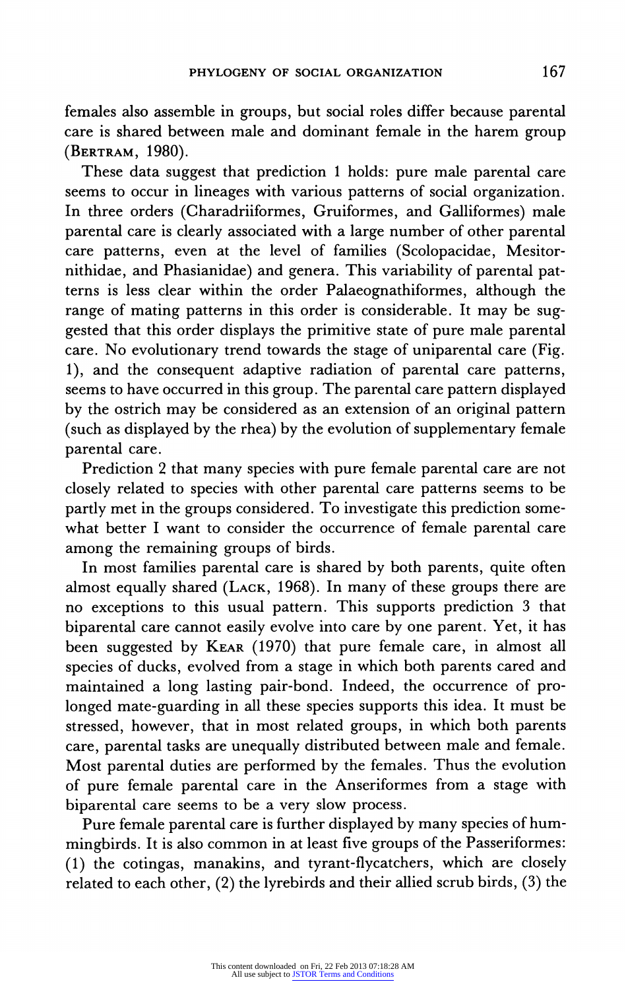**females also assemble in groups, but social roles differ because parental care is shared between male and dominant female in the harem group (BERTRAM, 1980).** 

**These data suggest that prediction 1 holds: pure male parental care seems to occur in lineages with various patterns of social organization. In three orders (Charadriiformes, Gruiformes, and Galliformes) male parental care is clearly associated with a large number of other parental care patterns, even at the level of families (Scolopacidae, Mesitornithidae, and Phasianidae) and genera. This variability of parental patterns is less clear within the order Palaeognathiformes, although the range of mating patterns in this order is considerable. It may be suggested that this order displays the primitive state of pure male parental care. No evolutionary trend towards the stage of uniparental care (Fig. 1), and the consequent adaptive radiation of parental care patterns, seems to have occurred in this group. The parental care pattern displayed by the ostrich may be considered as an extension of an original pattern (such as displayed by the rhea) by the evolution of supplementary female parental care.** 

**Prediction 2 that many species with pure female parental care are not closely related to species with other parental care patterns seems to be partly met in the groups considered. To investigate this prediction somewhat better I want to consider the occurrence of female parental care among the remaining groups of birds.** 

**In most families parental care is shared by both parents, quite often almost equally shared (LACK, 1968). In many of these groups there are no exceptions to this usual pattern. This supports prediction 3 that biparental care cannot easily evolve into care by one parent. Yet, it has been suggested by KEAR (1970) that pure female care, in almost all species of ducks, evolved from a stage in which both parents cared and maintained a long lasting pair-bond. Indeed, the occurrence of prolonged mate-guarding in all these species supports this idea. It must be stressed, however, that in most related groups, in which both parents care, parental tasks are unequally distributed between male and female. Most parental duties are performed by the females. Thus the evolution of pure female parental care in the Anseriformes from a stage with biparental care seems to be a very slow process.** 

**Pure female parental care is further displayed by many species of hummingbirds. It is also common in at least five groups of the Passeriformes: (1) the cotingas, manakins, and tyrant-flycatchers, which are closely related to each other, (2) the lyrebirds and their allied scrub birds, (3) the**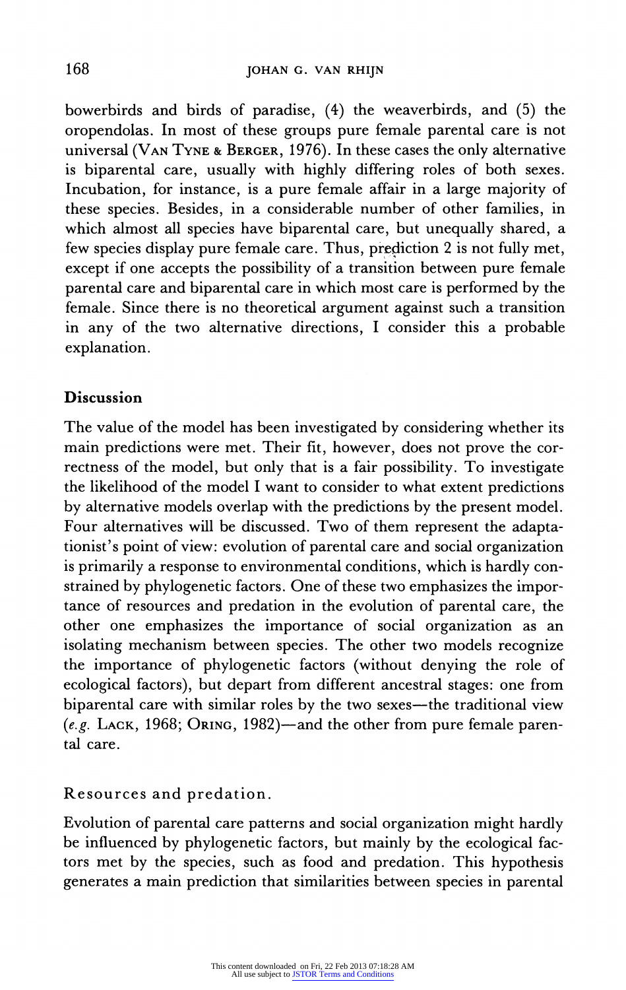**bowerbirds and birds of paradise, (4) the weaverbirds, and (5) the oropendolas. In most of these groups pure female parental care is not universal (VAN TYNE & BERGER, 1976). In these cases the only alternative is biparental care, usually with highly differing roles of both sexes. Incubation, for instance, is a pure female affair in a large majority of these species. Besides, in a considerable number of other families, in which almost all species have biparental care, but unequally shared, a few species display pure female care. Thus, prediction 2 is not fully met, except if one accepts the possibility of a transition between pure female parental care and biparental care in which most care is performed by the female. Since there is no theoretical argument against such a transition in any of the two alternative directions, I consider this a probable explanation.** 

## **Discussion**

**The value of the model has been investigated by considering whether its main predictions were met. Their fit, however, does not prove the correctness of the model, but only that is a fair possibility. To investigate the likelihood of the model I want to consider to what extent predictions by alternative models overlap with the predictions by the present model. Four alternatives will be discussed. Two of them represent the adaptationist's point of view: evolution of parental care and social organization is primarily a response to environmental conditions, which is hardly constrained by phylogenetic factors. One of these two emphasizes the importance of resources and predation in the evolution of parental care, the other one emphasizes the importance of social organization as an isolating mechanism between species. The other two models recognize the importance of phylogenetic factors (without denying the role of ecological factors), but depart from different ancestral stages: one from biparental care with similar roles by the two sexes-the traditional view (e.g. LACK, 1968; ORING, 1982)-and the other from pure female parental care.** 

**Resources and predation.** 

**Evolution of parental care patterns and social organization might hardly be influenced by phylogenetic factors, but mainly by the ecological factors met by the species, such as food and predation. This hypothesis generates a main prediction that similarities between species in parental**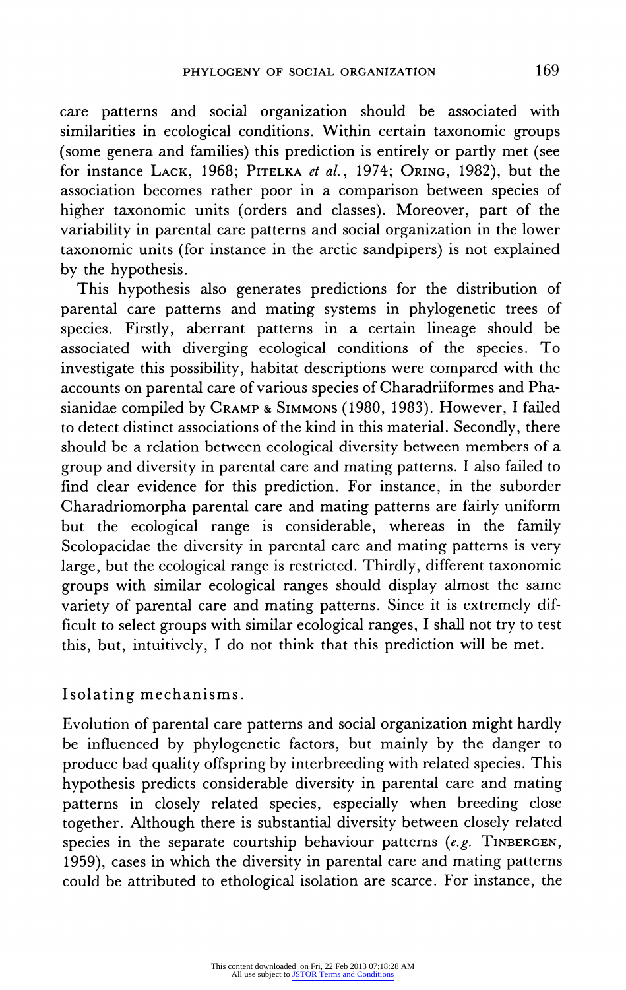**care patterns and social organization should be associated with similarities in ecological conditions. Within certain taxonomic groups (some genera and families) this prediction is entirely or partly met (see for instance LACK, 1968; PITELKA et al., 1974; ORING, 1982), but the association becomes rather poor in a comparison between species of higher taxonomic units (orders and classes). Moreover, part of the variability in parental care patterns and social organization in the lower taxonomic units (for instance in the arctic sandpipers) is not explained by the hypothesis.** 

**This hypothesis also generates predictions for the distribution of parental care patterns and mating systems in phylogenetic trees of species. Firstly, aberrant patterns in a certain lineage should be associated with diverging ecological conditions of the species. To investigate this possibility, habitat descriptions were compared with the accounts on parental care of various species of Charadriiformes and Phasianidae compiled by CRAMP & SIMMONS (1980, 1983). However, I failed to detect distinct associations of the kind in this material. Secondly, there should be a relation between ecological diversity between members of a group and diversity in parental care and mating patterns. I also failed to find clear evidence for this prediction. For instance, in the suborder Charadriomorpha parental care and mating patterns are fairly uniform but the ecological range is considerable, whereas in the family Scolopacidae the diversity in parental care and mating patterns is very large, but the ecological range is restricted. Thirdly, different taxonomic groups with similar ecological ranges should display almost the same**  variety of parental care and mating patterns. Since it is extremely dif**ficult to select groups with similar ecological ranges, I shall not try to test this, but, intuitively, I do not think that this prediction will be met.** 

#### **Isolating mechanisms.**

**Evolution of parental care patterns and social organization might hardly be influenced by phylogenetic factors, but mainly by the danger to produce bad quality offspring by interbreeding with related species. This hypothesis predicts considerable diversity in parental care and mating patterns in closely related species, especially when breeding close together. Although there is substantial diversity between closely related**  species in the separate courtship behaviour patterns (e.g. TINBERGEN, **1959), cases in which the diversity in parental care and mating patterns could be attributed to ethological isolation are scarce. For instance, the**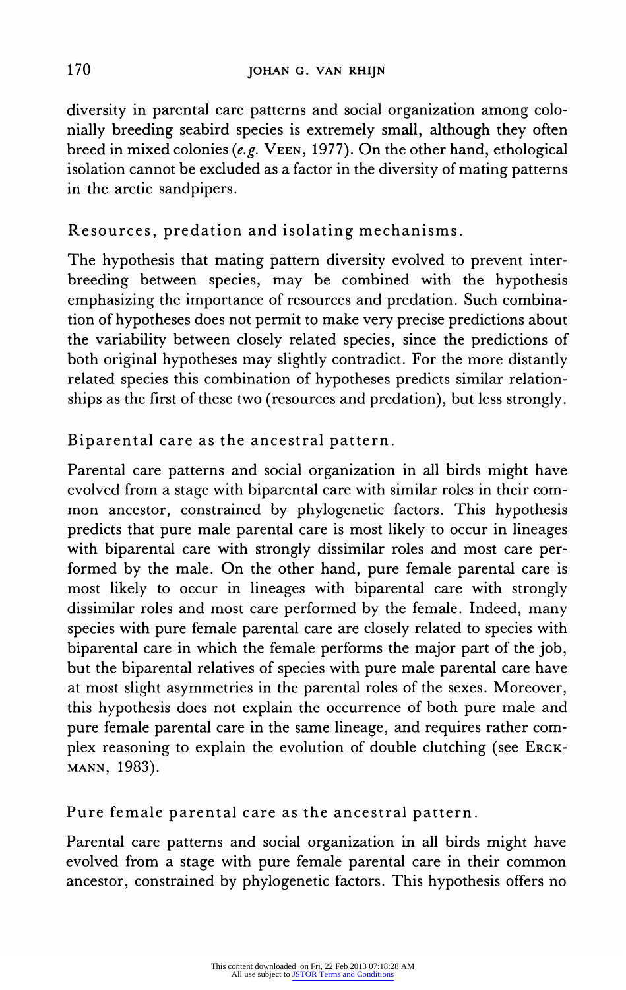**diversity in parental care patterns and social organization among colonially breeding seabird species is extremely small, although they often breed in mixed colonies (e.g. VEEN, 1977). On the other hand, ethological isolation cannot be excluded as a factor in the diversity of mating patterns in the arctic sandpipers.** 

**Resources, predation and isolating mechanisms.** 

**The hypothesis that mating pattern diversity evolved to prevent interbreeding between species, may be combined with the hypothesis emphasizing the importance of resources and predation. Such combination of hypotheses does not permit to make very precise predictions about the variability between closely related species, since the predictions of both original hypotheses may slightly contradict. For the more distantly related species this combination of hypotheses predicts similar relationships as the first of these two (resources and predation), but less strongly.** 

**Biparental care as the ancestral pattern.** 

**Parental care patterns and social organization in all birds might have evolved from a stage with biparental care with similar roles in their common ancestor, constrained by phylogenetic factors. This hypothesis predicts that pure male parental care is most likely to occur in lineages with biparental care with strongly dissimilar roles and most care performed by the male. On the other hand, pure female parental care is most likely to occur in lineages with biparental care with strongly dissimilar roles and most care performed by the female. Indeed, many species with pure female parental care are closely related to species with biparental care in which the female performs the major part of the job, but the biparental relatives of species with pure male parental care have at most slight asymmetries in the parental roles of the sexes. Moreover, this hypothesis does not explain the occurrence of both pure male and pure female parental care in the same lineage, and requires rather complex reasoning to explain the evolution of double clutching (see ERCK-MANN, 1983).** 

**Pure female parental care as the ancestral pattern.** 

**Parental care patterns and social organization in all birds might have evolved from a stage with pure female parental care in their common ancestor, constrained by phylogenetic factors. This hypothesis offers no**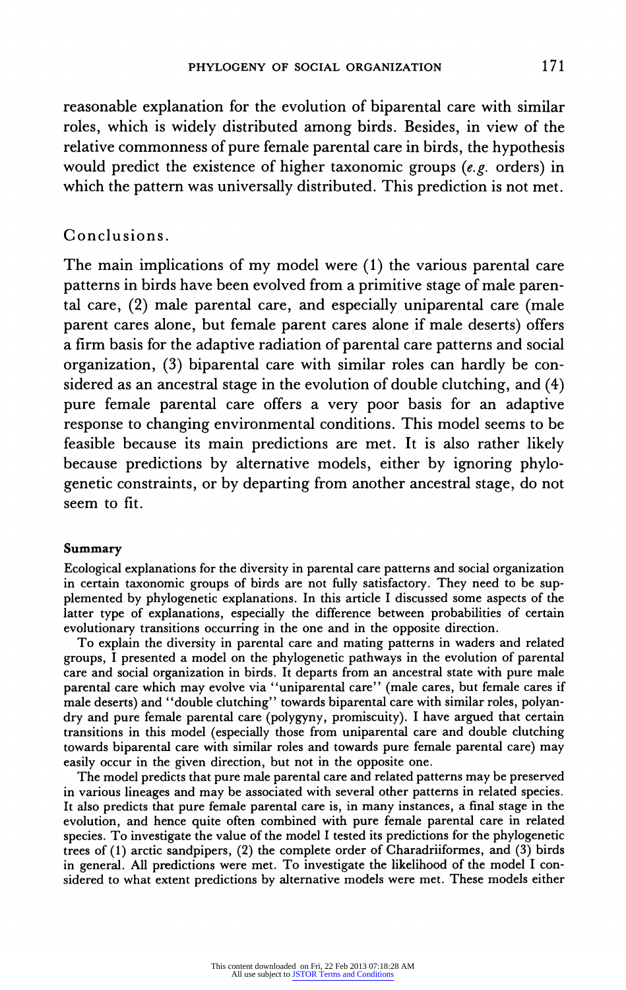**reasonable explanation for the evolution of biparental care with similar roles, which is widely distributed among birds. Besides, in view of the relative commonness of pure female parental care in birds, the hypothesis would predict the existence of higher taxonomic groups (e.g. orders) in**  which the pattern was universally distributed. This prediction is not met.

#### **Conclusions.**

**The main implications of my model were (1) the various parental care patterns in birds have been evolved from a primitive stage of male parental care, (2) male parental care, and especially uniparental care (male parent cares alone, but female parent cares alone if male deserts) offers a firm basis for the adaptive radiation of parental care patterns and social organization, (3) biparental care with similar roles can hardly be considered as an ancestral stage in the evolution of double clutching, and (4) pure female parental care offers a very poor basis for an adaptive response to changing environmental conditions. This model seems to be feasible because its main predictions are met. It is also rather likely because predictions by alternative models, either by ignoring phylogenetic constraints, or by departing from another ancestral stage, do not seem to fit.** 

#### **Summary**

**Ecological explanations for the diversity in parental care patterns and social organization in certain taxonomic groups of birds are not fully satisfactory. They need to be supplemented by phylogenetic explanations. In this article I discussed some aspects of the latter type of explanations, especially the difference between probabilities of certain evolutionary transitions occurring in the one and in the opposite direction.** 

**To explain the diversity in parental care and mating patterns in waders and related groups, I presented a model on the phylogenetic pathways in the evolution of parental care and social organization in birds. It departs from an ancestral state with pure male parental care which may evolve via "uniparental care" (male cares, but female cares if male deserts) and "double clutching" towards biparental care with similar roles, polyandry and pure female parental care (polygyny, promiscuity). I have argued that certain transitions in this model (especially those from uniparental care and double clutching towards biparental care with similar roles and towards pure female parental care) may easily occur in the given direction, but not in the opposite one.** 

**The model predicts that pure male parental care and related patterns may be preserved in various lineages and may be associated with several other patterns in related species. It also predicts that pure female parental care is, in many instances, a final stage in the evolution, and hence quite often combined with pure female parental care in related species. To investigate the value of the model I tested its predictions for the phylogenetic trees of (1) arctic sandpipers, (2) the complete order of Charadriiformes, and (3) birds in general. All predictions were met. To investigate the likelihood of the model I considered to what extent predictions by alternative models were met. These models either**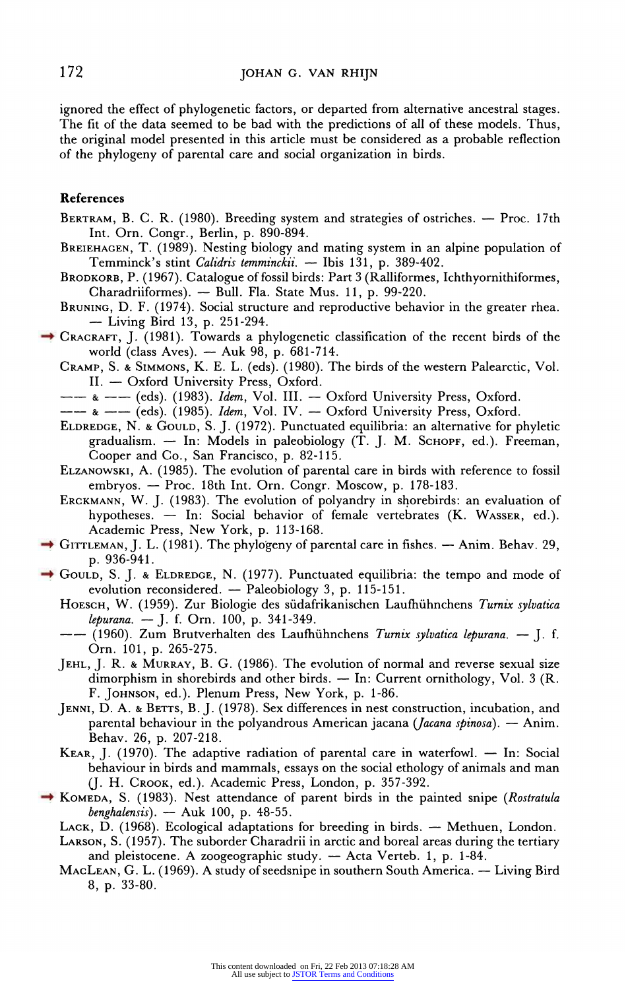**ignored the effect of phylogenetic factors, or departed from alternative ancestral stages. The fit of the data seemed to be bad with the predictions of all of these models. Thus, the original model presented in this article must be considered as a probable reflection of the phylogeny of parental care and social organization in birds.** 

#### **References**

- **BERTRAM, B. C. R. (1980). Breeding system and strategies of ostriches. Proc. 17th Int. Orn. Congr., Berlin, p. 890-894.**
- **BREIEHAGEN, T. (1989). Nesting biology and mating system in an alpine population of**  Temminck's stint *Calidris temminckii.* - Ibis 131, p. 389-402.
- **BRODKORB, P. (1967). Catalogue of fossil birds: Part 3 (Ralliformes, Ichthyornithiformes, Charadriiformes). - Bull. Fla. State Mus. 11, p. 99-220.**
- **BRUNING, D. F. (1974). Social structure and reproductive behavior in the greater rhea. - Living Bird 13, p. 251-294.**
- **CRACRAFT, J. (1981). Towards a phylogenetic classification of the recent birds of the world (class Aves). - Auk 98, p. 681-714.** 
	- **CRAMP, S. & SIMMONS, K. E. L. (eds). (1980). The birds of the western Palearctic, Vol.**  II. - Oxford University Press, Oxford.
	- **-- & -- (eds). (1983). Idem, Vol. III. Oxford University Press, Oxford.**
	- —— & —— (eds). (1985). *Idem*, Vol. IV. Oxford University Press, Oxford.
	- **ELDREDGE, N. & GOULD, S. J. (1972). Punctuated equilibria: an alternative for phyletic gradualism. - In: Models in paleobiology (T. J. M. SCHOPF, ed.). Freeman, Cooper and Co., San Francisco, p. 82-115.**
	- **ELZANOWSKI, A. (1985). The evolution of parental care in birds with reference to fossil embryos. - Proc. 18th Int. Orn. Congr. Moscow, p. 178-183.**
	- **ERCKMANN, W. J. (1983). The evolution of polyandry in shorebirds: an evaluation of hypotheses. - In: Social behavior of female vertebrates (K. WASSER, ed.). Academic Press, New York, p. 113-168.**
- $\rightarrow$  GITTLEMAN, I. L. (1981). The phylogeny of parental care in fishes.  $\rightarrow$  Anim. Behav. 29, **p. 936-941.**
- **GOULD, S. J. & ELDREDGE, N. (1977). Punctuated equilibria: the tempo and mode of**  evolution reconsidered. - Paleobiology 3, p. 115-151.
	- **HOESCH, W. (1959). Zur Biologie des siidafrikanischen Laufhiihnchens Turnix sylvatica lepurana. -J. f. Orn. 100, p. 341-349.**
	- **(1960). Zum Brutverhalten des Laufhihnchens Turnix sylvatica lepurana. J. f. Orn. 101, p. 265-275.**
	- **JEHL, J. R. & MURRAY, B. G. (1986). The evolution of normal and reverse sexual size**  dimorphism in shorebirds and other birds. - In: Current ornithology, Vol. 3 (R. **F. JOHNSON, ed.). Plenum Press, New York, p. 1-86.**
	- **JENNI, D. A. & BETTS, B. J. (1978). Sex differences in nest construction, incubation, and parental behaviour in the polyandrous American jacana (Jacana spinosa). - Anim. Behav. 26, p. 207-218.**
	- **KEAR, J. (1970). The adaptive radiation of parental care in waterfowl. In: Social behaviour in birds and mammals, essays on the social ethology of animals and man (J. H. CROOK, ed.). Academic Press, London, p. 357-392.**
- **KOMEDA, S. (1983). Nest attendance of parent birds in the painted snipe (Rostratula benghalensis). - Auk 100, p. 48-55.** 
	- **LACK, D. (1968). Ecological adaptations for breeding in birds. Methuen, London.**
	- **LARSON, S. (1957). The suborder Charadrii in arctic and boreal areas during the tertiary and pleistocene. A zoogeographic study. - Acta Verteb. 1, p. 1-84.**
	- **MACLEAN, G. L. (1969). A study of seedsnipe in southern South America. Living Bird 8, p. 33-80.**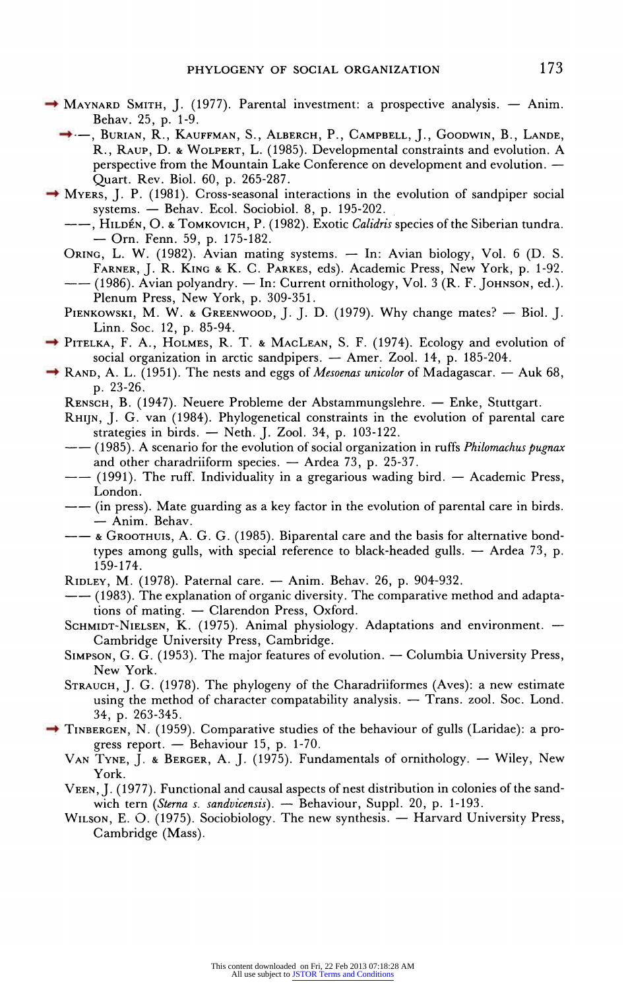**MAYNARD SMITH, J. (1977). Parental investment: a prospective analysis. - Anim. Behav. 25, p. 1-9.** 

**-, BURIAN, R., KAUFFMAN, S., ALBERCH, P., CAMPBELL, J., GOODWIN, B., LANDE, R., RAUP, D. & WOLPERT, L. (1985). Developmental constraints and evolution. A perspective from the Mountain Lake Conference on development and evolution.**  $-$ **Quart. Rev. Biol. 60, p. 265-287.** 

- **MYERS, J. P. (1981). Cross-seasonal interactions in the evolution of sandpiper social systems. - Behav. Ecol. Sociobiol. 8, p. 195-202.** 
	- **-, HILDEN, O. & TOMKOVICH, P. (1982). Exotic Calidris species of the Siberian tundra. - Orn. Fenn. 59, p. 175-182.**
	- ORING, L. W. (1982). Avian mating systems. In: Avian biology, Vol. 6 (D. S. **FARNER, J. R. KING & K. C. PARKES, eds). Academic Press, New York, p. 1-92.**  —— (1986). Avian polyandry. — In: Current ornithology, Vol. 3 (R. F. Joнnson, ed.).
	- **Plenum Press, New York, p. 309-351.**
	- **PIENKOWSKI, M. W. & GREENWOOD, J. J. D. (1979). Why change mates? Biol. J. Linn. Soc. 12, p. 85-94.**
- **PITELKA, F. A., HOLMES, R. T. & MACLEAN, S. F. (1974). Ecology and evolution of social organization in arctic sandpipers. - Amer. Zool. 14, p. 185-204.**
- $\rightarrow$  RAND, A. L. (1951). The nests and eggs of *Mesoenas unicolor* of Madagascar.  $-$  Auk 68, **p. 23-26.** 
	- **RENSCH, B. (1947). Neuere Probleme der Abstammungslehre. Enke, Stuttgart.**
	- **RHIJN, J. G. van (1984). Phylogenetical constraints in the evolution of parental care strategies in birds. - Neth. J. Zool. 34, p. 103-122.**
	- **-- (1985). A scenario for the evolution of social organization in ruffs Philomachus pugnax**  and other charadriiform species. - Ardea 73, p. 25-37.
	- **(1991). The ruff. Individuality in a gregarious wading bird. Academic Press, London.**
	- **(in press). Mate guarding as a key factor in the evolution of parental care in birds. -Anim. Behav.**
	- $-\rightarrow \infty$  Groothuis, A. G. G. (1985). Biparental care and the basis for alternative bond**types among gulls, with special reference to black-headed gulls. - Ardea 73, p. 159-174.**
	- **RIDLEY, M. (1978). Paternal care. Anim. Behav. 26, p. 904-932.**
	- $\leftarrow$  (1983). The explanation of organic diversity. The comparative method and adaptations of mating. - Clarendon Press, Oxford.
	- **SCHMIDT-NIELSEN, K. (1975). Animal physiology. Adaptations and environment. Cambridge University Press, Cambridge.**
	- **SIMPSON, G. G. (1953). The major features of evolution. Columbia University Press, New York.**
	- **STRAUCH, J. G. (1978). The phylogeny of the Charadriiformes (Aves): a new estimate**  using the method of character compatability analysis. — Trans. zool. Soc. Lond. **34, p. 263-345.**
- **TINBERGEN, N. (1959). Comparative studies of the behaviour of gulls (Laridae): a progress report. - Behaviour 15, p. 1-70.** 
	- **VAN TYNE, J. & BERGER, A. J. (1975). Fundamentals of ornithology. Wiley, New York.**
	- **VEEN, J. (1977). Functional and causal aspects of nest distribution in colonies of the sand**wich tern (Sterna s. sandvicensis). - Behaviour, Suppl. 20, p. 1-193.
	- WILSON, E. O. (1975). Sociobiology. The new synthesis. Harvard University Press, **Cambridge (Mass).**